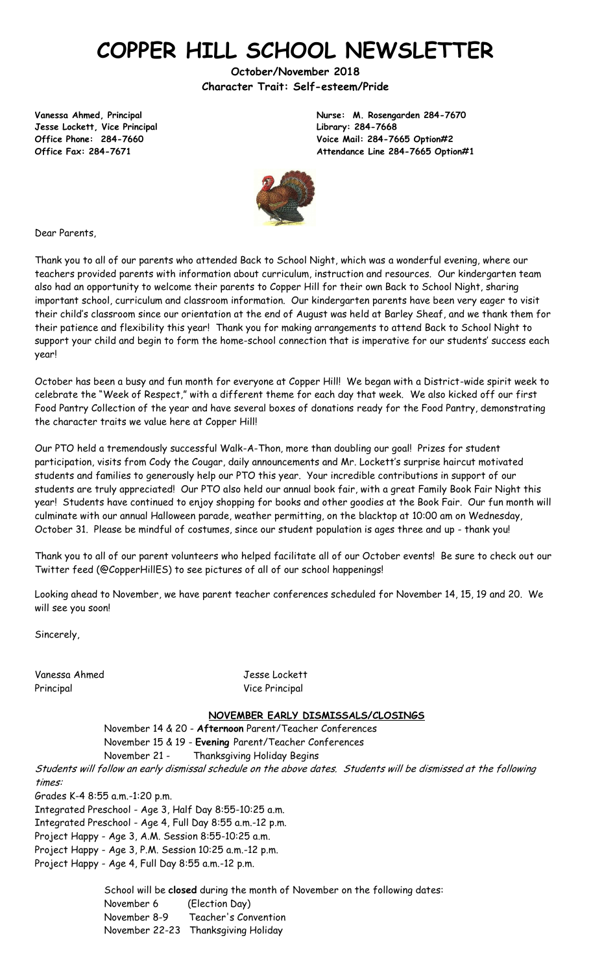# **COPPER HILL SCHOOL NEWSLETTER**

**October/November 2018 Character Trait: Self-esteem/Pride**

**Jesse Lockett, Vice Principal Library: 284-7668**

**Vanessa Ahmed, Principal Nurse: M. Rosengarden 284-7670 Office Phone: 284-7660 Voice Mail: 284-7665 Option#2 Office Fax: 284-7671 Attendance Line 284-7665 Option#1**



Dear Parents,

Thank you to all of our parents who attended Back to School Night, which was a wonderful evening, where our teachers provided parents with information about curriculum, instruction and resources. Our kindergarten team also had an opportunity to welcome their parents to Copper Hill for their own Back to School Night, sharing important school, curriculum and classroom information. Our kindergarten parents have been very eager to visit their child's classroom since our orientation at the end of August was held at Barley Sheaf, and we thank them for their patience and flexibility this year! Thank you for making arrangements to attend Back to School Night to support your child and begin to form the home-school connection that is imperative for our students' success each year!

October has been a busy and fun month for everyone at Copper Hill! We began with a District-wide spirit week to celebrate the "Week of Respect," with a different theme for each day that week. We also kicked off our first Food Pantry Collection of the year and have several boxes of donations ready for the Food Pantry, demonstrating the character traits we value here at Copper Hill!

Our PTO held a tremendously successful Walk-A-Thon, more than doubling our goal! Prizes for student participation, visits from Cody the Cougar, daily announcements and Mr. Lockett's surprise haircut motivated students and families to generously help our PTO this year. Your incredible contributions in support of our students are truly appreciated! Our PTO also held our annual book fair, with a great Family Book Fair Night this year! Students have continued to enjoy shopping for books and other goodies at the Book Fair. Our fun month will culminate with our annual Halloween parade, weather permitting, on the blacktop at 10:00 am on Wednesday, October 31. Please be mindful of costumes, since our student population is ages three and up - thank you!

Thank you to all of our parent volunteers who helped facilitate all of our October events! Be sure to check out our Twitter feed (@CopperHillES) to see pictures of all of our school happenings!

Looking ahead to November, we have parent teacher conferences scheduled for November 14, 15, 19 and 20. We will see you soon!

Sincerely,

Vanessa Ahmed Jesse Lockett Principal Vice Principal Vice Principal

#### **NOVEMBER EARLY DISMISSALS/CLOSINGS**

November 14 & 20 - **Afternoon** Parent/Teacher Conferences November 15 & 19 - **Evening** Parent/Teacher Conferences November 21 - Thanksgiving Holiday Begins

Students will follow an early dismissal schedule on the above dates. Students will be dismissed at the following times:

Grades K-4 8:55 a.m.-1:20 p.m.

Integrated Preschool - Age 3, Half Day 8:55-10:25 a.m.

Integrated Preschool - Age 4, Full Day 8:55 a.m.-12 p.m.

Project Happy - Age 3, A.M. Session 8:55-10:25 a.m.

Project Happy - Age 3, P.M. Session 10:25 a.m.-12 p.m.

Project Happy - Age 4, Full Day 8:55 a.m.-12 p.m.

School will be **closed** during the month of November on the following dates: November 6 (Election Day) November 8-9 Teacher's Convention November 22-23 Thanksgiving Holiday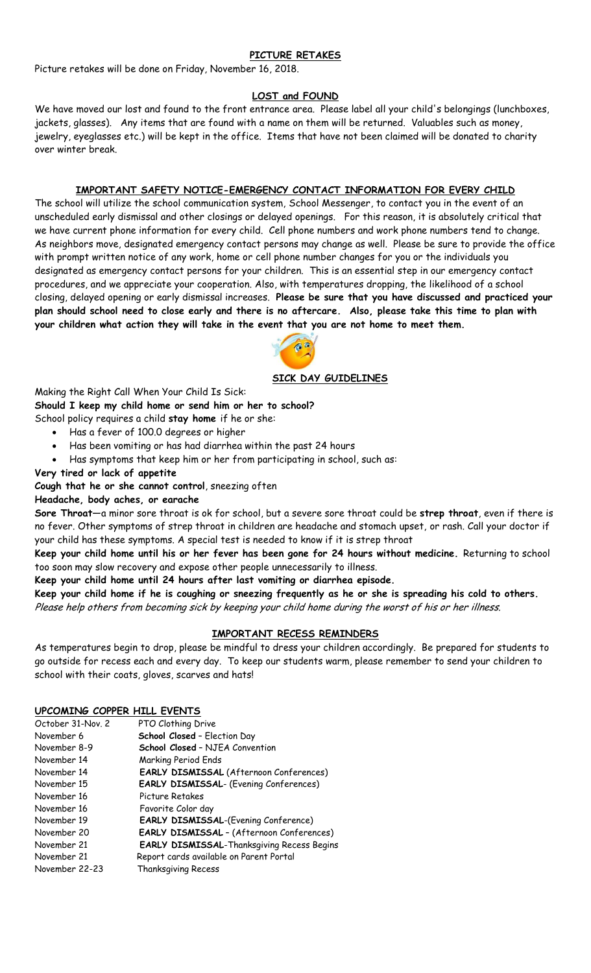## **PICTURE RETAKES**

Picture retakes will be done on Friday, November 16, 2018.

#### **LOST and FOUND**

We have moved our lost and found to the front entrance area. Please label all your child's belongings (lunchboxes, jackets, glasses). Any items that are found with a name on them will be returned. Valuables such as money, jewelry, eyeglasses etc.) will be kept in the office. Items that have not been claimed will be donated to charity over winter break.

### **IMPORTANT SAFETY NOTICE-EMERGENCY CONTACT INFORMATION FOR EVERY CHILD**

The school will utilize the school communication system, School Messenger, to contact you in the event of an unscheduled early dismissal and other closings or delayed openings. For this reason, it is absolutely critical that we have current phone information for every child. Cell phone numbers and work phone numbers tend to change. As neighbors move, designated emergency contact persons may change as well. Please be sure to provide the office with prompt written notice of any work, home or cell phone number changes for you or the individuals you designated as emergency contact persons for your children. This is an essential step in our emergency contact procedures, and we appreciate your cooperation. Also, with temperatures dropping, the likelihood of a school closing, delayed opening or early dismissal increases. **Please be sure that you have discussed and practiced your plan should school need to close early and there is no aftercare. Also, please take this time to plan with your children what action they will take in the event that you are not home to meet them.**



#### **SICK DAY GUIDELINES**

Making the Right Call When Your Child Is Sick:

**Should I keep my child home or send him or her to school?** 

School policy requires a child **stay home** if he or she:

- Has a fever of 100.0 degrees or higher
- Has been vomiting or has had diarrhea within the past 24 hours
- Has symptoms that keep him or her from participating in school, such as:

## **Very tired or lack of appetite**

**Cough that he or she cannot control**, sneezing often

## **Headache, body aches, or earache**

**Sore Throat**—a minor sore throat is ok for school, but a severe sore throat could be **strep throat**, even if there is no fever. Other symptoms of strep throat in children are headache and stomach upset, or rash. Call your doctor if your child has these symptoms. A special test is needed to know if it is strep throat

**Keep your child home until his or her fever has been gone for 24 hours without medicine.** Returning to school too soon may slow recovery and expose other people unnecessarily to illness.

**Keep your child home until 24 hours after last vomiting or diarrhea episode.** 

**Keep your child home if he is coughing or sneezing frequently as he or she is spreading his cold to others.**  Please help others from becoming sick by keeping your child home during the worst of his or her illness.

## **IMPORTANT RECESS REMINDERS**

As temperatures begin to drop, please be mindful to dress your children accordingly. Be prepared for students to go outside for recess each and every day. To keep our students warm, please remember to send your children to school with their coats, gloves, scarves and hats!

#### **UPCOMING COPPER HILL EVENTS**

| October 31-Nov. 2 | PTO Clothing Drive                                |
|-------------------|---------------------------------------------------|
| November 6        | School Closed - Election Day                      |
| November 8-9      | <b>School Closed - NJEA Convention</b>            |
| November 14       | <b>Marking Period Ends</b>                        |
| November 14       | <b>EARLY DISMISSAL (Afternoon Conferences)</b>    |
| November 15       | <b>EARLY DISMISSAL- (Evening Conferences)</b>     |
| November 16       | Picture Retakes                                   |
| November 16       | Favorite Color day                                |
| November 19       | <b>EARLY DISMISSAL-(Evening Conference)</b>       |
| November 20       | <b>EARLY DISMISSAL - (Afternoon Conferences)</b>  |
| November 21       | <b>EARLY DISMISSAL-Thanksgiving Recess Begins</b> |
| November 21       | Report cards available on Parent Portal           |
| November 22-23    | Thanksgiving Recess                               |